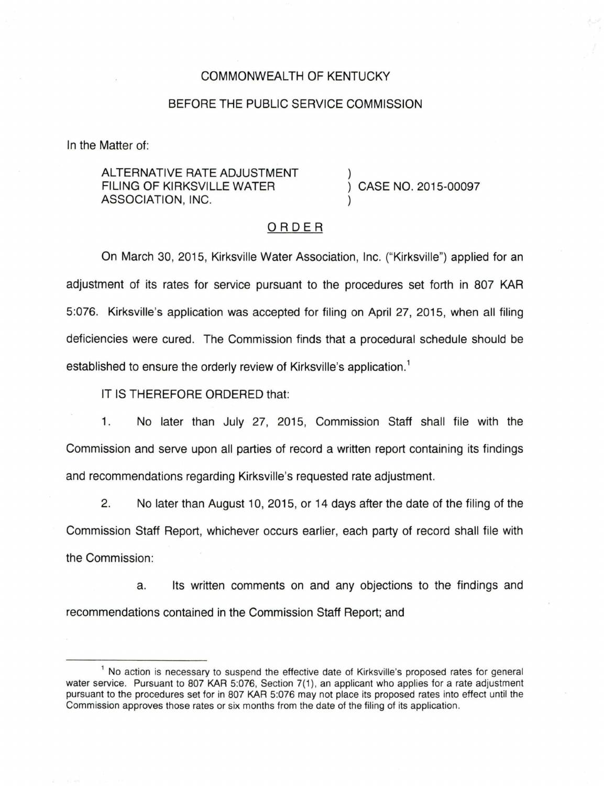## COMMONWEALTH OF KENTUCKY

## BEFORE THE PUBLIC SERVICE COMMISSION

In the Matter of:

ALTERNATIVE RATE ADJUSTMENT FILING OF KIRKSVILLE WATER ASSOCIATION, INC.

CASE NO. 2015-00097

## ORDER

On March 30, 2015, Kirksville Water Association, Inc. ("Kirksville") applied for an adjustment of its rates for service pursuant to the procedures set forth in 807 KAR 5:076. Kirksville's application was accepted for filing on April 27, 2015, when all filing deficiencies were cured. The Commission finds that a procedural schedule should be established to ensure the orderly review of Kirksville's application.<sup>1</sup>

IT IS THEREFORE ORDERED that:

1. No later than July 27, 2015, Commission Staff shall file with the Commission and serve upon all parties of record a written report containing its findings and recommendations regarding Kirksville's requested rate adjustment.

2. No later than August 10, 2015, or 14 days after the date of the filing of the Commission Staff Report, whichever occurs earlier, each party of record shall file with the Commission:

a. Its written comments on and any objections to the findings and recommendations contained in the Commission Staff Report; and

<sup>&</sup>lt;sup>1</sup> No action is necessary to suspend the effective date of Kirksville's proposed rates for general water service. Pursuant to 807 KAR 5:076, Section 7(1), an applicant who applies for a rate adjustment pursuant to the procedures set for in 807 KAR 5:076 may not place its proposed rates into effect until the Commission approves those rates or six months from the date of the filing of its application.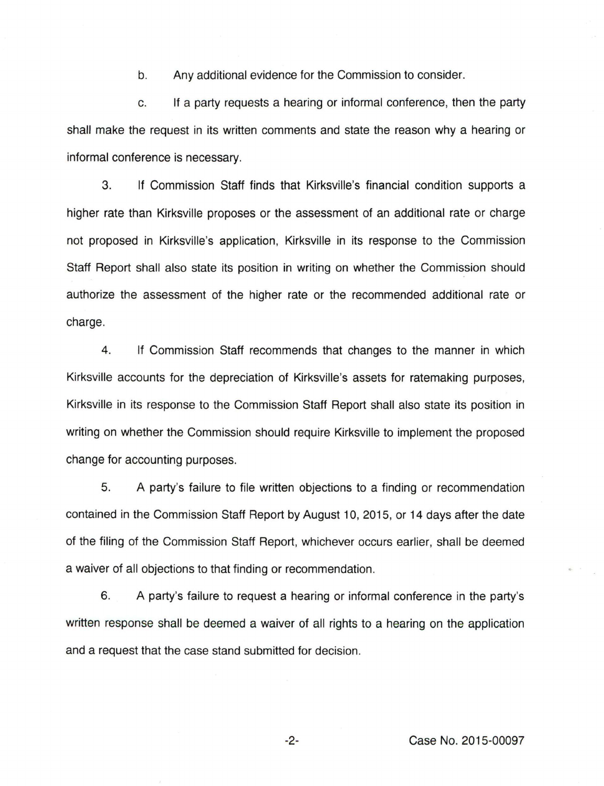b. Any additional evidence for the Commission to consider.

c. If a party requests a hearing or informal conference, then the party shall make the request in its written comments and state the reason why a hearing or informal conference is necessary.

3. If Commission Staff finds that Kirksville's financial condition supports a higher rate than Kirksville proposes or the assessment of an additional rate or charge not proposed in Kirksville's application, Kirksville in its response to the Commission Staff Report shall also state its position in writing on whether the Commission should authorize the assessment of the higher rate or the recommended additional rate or charge.

4. If Commission Staff recommends that changes to the manner in which Kirksville accounts for the depreciation of Kirksville's assets for ratemaking purposes, Kirksville in its response to the Commission Staff Report shall also state its position in writing on whether the Commission should require Kirksville to implement the proposed change for accounting purposes.

5. A party's failure to file written objections to a finding or recommendation contained in the Commission Staff Report by August 10, 2015, or 14 days after the date of the filing of the Commission Staff Report, whichever occurs earlier, shall be deemed a waiver of all objections to that finding or recommendation.

6. A party's failure to request a hearing or informal conference in the party's written response shall be deemed a waiver of all rights to a hearing on the application and a request that the case stand submitted for decision.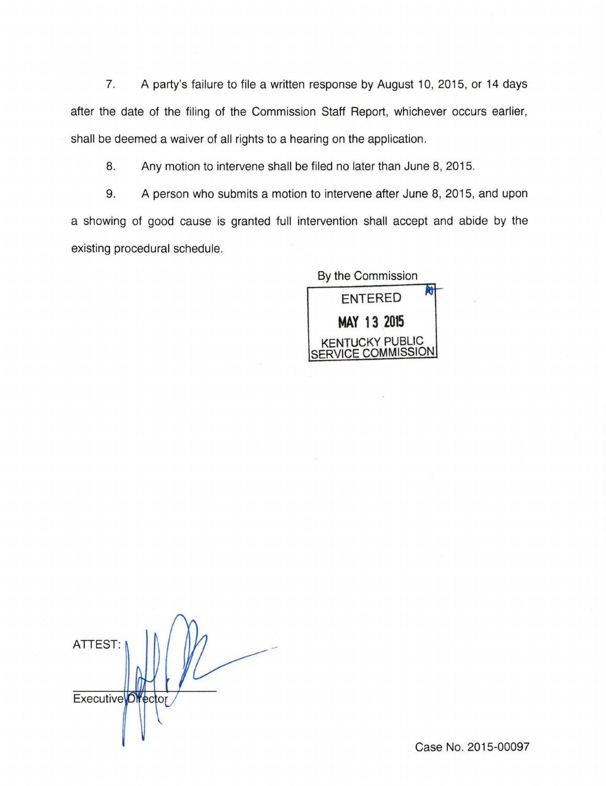7. A party's failure to file a written response by August 10, 2015, or 14 days after the date of the filing of the Commission Staff Report, whichever occurs earlier, shall be deemed a waiver of all rights to a hearing on the application.

8. Any motion to intervene shall be filed no later than June 8, 2015.

9. A person who submits a motion to intervene after June 8, 2015, and upon a showing of good cause is granted full intervention shall accept and abide by the existing procedural schedule.

By the Commission **ENTERED MAY 13 2015**  CKY PUBLIC  $F$  COMMISSION

ATTEST: **Executive** *Director* 

Case No. 2015-00097